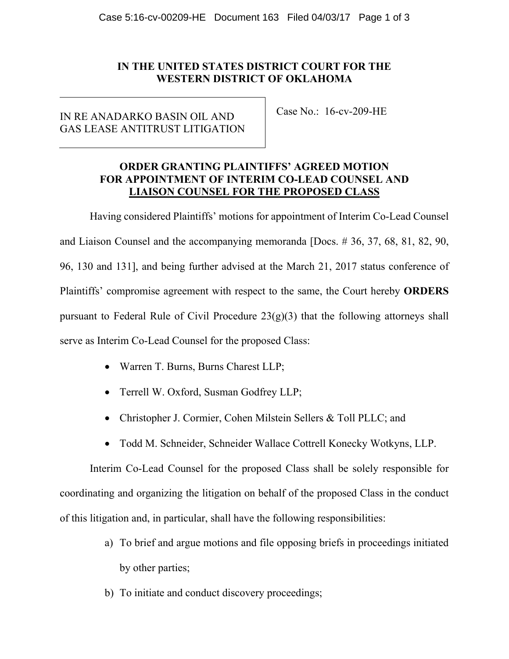# **IN THE UNITED STATES DISTRICT COURT FOR THE WESTERN DISTRICT OF OKLAHOMA**

# IN RE ANADARKO BASIN OIL AND GAS LEASE ANTITRUST LITIGATION

Case No.: 16-cv-209-HE

## **ORDER GRANTING PLAINTIFFS' AGREED MOTION FOR APPOINTMENT OF INTERIM CO-LEAD COUNSEL AND LIAISON COUNSEL FOR THE PROPOSED CLASS**

Having considered Plaintiffs' motions for appointment of Interim Co-Lead Counsel and Liaison Counsel and the accompanying memoranda [Docs. # 36, 37, 68, 81, 82, 90, 96, 130 and 131], and being further advised at the March 21, 2017 status conference of Plaintiffs' compromise agreement with respect to the same, the Court hereby **ORDERS** pursuant to Federal Rule of Civil Procedure  $23(g)(3)$  that the following attorneys shall serve as Interim Co-Lead Counsel for the proposed Class:

- Warren T. Burns, Burns Charest LLP;
- Terrell W. Oxford, Susman Godfrey LLP;
- Christopher J. Cormier, Cohen Milstein Sellers & Toll PLLC; and
- Todd M. Schneider, Schneider Wallace Cottrell Konecky Wotkyns, LLP.

Interim Co-Lead Counsel for the proposed Class shall be solely responsible for coordinating and organizing the litigation on behalf of the proposed Class in the conduct of this litigation and, in particular, shall have the following responsibilities:

- a) To brief and argue motions and file opposing briefs in proceedings initiated by other parties;
- b) To initiate and conduct discovery proceedings;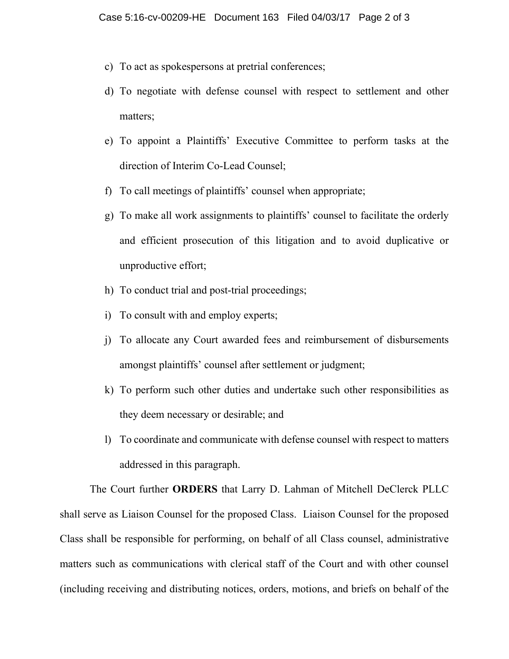- c) To act as spokespersons at pretrial conferences;
- d) To negotiate with defense counsel with respect to settlement and other matters;
- e) To appoint a Plaintiffs' Executive Committee to perform tasks at the direction of Interim Co-Lead Counsel;
- f) To call meetings of plaintiffs' counsel when appropriate;
- g) To make all work assignments to plaintiffs' counsel to facilitate the orderly and efficient prosecution of this litigation and to avoid duplicative or unproductive effort;
- h) To conduct trial and post-trial proceedings;
- i) To consult with and employ experts;
- j) To allocate any Court awarded fees and reimbursement of disbursements amongst plaintiffs' counsel after settlement or judgment;
- k) To perform such other duties and undertake such other responsibilities as they deem necessary or desirable; and
- l) To coordinate and communicate with defense counsel with respect to matters addressed in this paragraph.

The Court further **ORDERS** that Larry D. Lahman of Mitchell DeClerck PLLC shall serve as Liaison Counsel for the proposed Class. Liaison Counsel for the proposed Class shall be responsible for performing, on behalf of all Class counsel, administrative matters such as communications with clerical staff of the Court and with other counsel (including receiving and distributing notices, orders, motions, and briefs on behalf of the